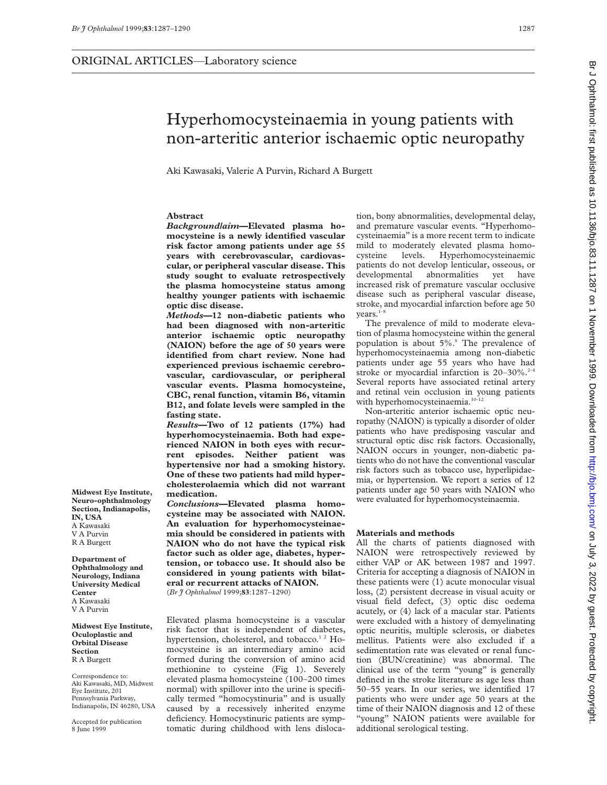Aki Kawasaki, Valerie A Purvin, Richard A Burgett

## **Abstract**

*Background/aim***—Elevated plasma homocysteine is a newly identified vascular risk factor among patients under age 55 years with cerebrovascular, cardiovascular, or peripheral vascular disease. This study sought to evaluate retrospectively the plasma homocysteine status among healthy younger patients with ischaemic optic disc disease.**

*Methods***—12 non-diabetic patients who had been diagnosed with non-arteritic anterior ischaemic optic neuropathy (NAION) before the age of 50 years were identified from chart review. None had experienced previous ischaemic cerebrovascular, cardiovascular, or peripheral vascular events. Plasma homocysteine, CBC, renal function, vitamin B6, vitamin B12, and folate levels were sampled in the fasting state.**

*Results***—Two of 12 patients (17%) had hyperhomocysteinaemia. Both had experienced NAION in both eyes with recurrent episodes. Neither patient was hypertensive nor had a smoking history. One of these two patients had mild hypercholesterolaemia which did not warrant medication.**

*Conclusions***—Elevated plasma homocysteine may be associated with NAION. An evaluation for hyperhomocysteinaemia should be considered in patients with NAION who do not have the typical risk factor such as older age, diabetes, hypertension, or tobacco use. It should also be considered in young patients with bilateral or recurrent attacks of NAION.**

(*Br J Ophthalmol* 1999;**83**:1287–1290)

Elevated plasma homocysteine is a vascular risk factor that is independent of diabetes, hypertension, cholesterol, and tobacco.<sup>12</sup> Homocysteine is an intermediary amino acid formed during the conversion of amino acid methionine to cysteine (Fig 1). Severely elevated plasma homocysteine (100–200 times normal) with spillover into the urine is specifically termed "homocystinuria" and is usually caused by a recessively inherited enzyme deficiency. Homocystinuric patients are symptomatic during childhood with lens dislocation, bony abnormalities, developmental delay, and premature vascular events. "Hyperhomocysteinaemia" is a more recent term to indicate mild to moderately elevated plasma homocysteine levels. Hyperhomocysteinaemic patients do not develop lenticular, osseous, or developmental abnormalities yet have increased risk of premature vascular occlusive disease such as peripheral vascular disease, stroke, and myocardial infarction before age 50  $years.<sup>1</sup>$ 

The prevalence of mild to moderate elevation of plasma homocysteine within the general population is about 5%.9 The prevalence of hyperhomocysteinaemia among non-diabetic patients under age 55 years who have had stroke or myocardial infarction is  $20-30\%$ .<sup>2-4</sup> Several reports have associated retinal artery and retinal vein occlusion in young patients with hyperhomocysteinaemia.<sup>10-12</sup>

Non-arteritic anterior ischaemic optic neuropathy (NAION) is typically a disorder of older patients who have predisposing vascular and structural optic disc risk factors. Occasionally, NAION occurs in younger, non-diabetic patients who do not have the conventional vascular risk factors such as tobacco use, hyperlipidaemia, or hypertension. We report a series of 12 patients under age 50 years with NAION who were evaluated for hyperhomocysteinaemia.

## **Materials and methods**

All the charts of patients diagnosed with NAION were retrospectively reviewed by either VAP or AK between 1987 and 1997. Criteria for accepting a diagnosis of NAION in these patients were (1) acute monocular visual loss, (2) persistent decrease in visual acuity or visual field defect, (3) optic disc oedema acutely, or (4) lack of a macular star. Patients were excluded with a history of demyelinating optic neuritis, multiple sclerosis, or diabetes mellitus. Patients were also excluded if a sedimentation rate was elevated or renal function (BUN/creatinine) was abnormal. The clinical use of the term "young" is generally defined in the stroke literature as age less than 50–55 years. In our series, we identified 17 patients who were under age 50 years at the time of their NAION diagnosis and 12 of these "young" NAION patients were available for additional serological testing.

Br J Ophthalmol: first published as 10.1136/bjo.83.11.1287 on 1 November 1999. Downloaded from http://bjo.bmj.com/ on July 3, 2022 by guest. Protected by copyright by givest. Protected by guest. Protected by copyright. Now discussion of the stratege of the stratege as 10.1137. Discloped by a Name in the stratege of  $\sim$  10.1287 on 1 Name in Name 1 November 1990. Downloaded from Discl

**Midwest Eye Institute, Neuro-ophthalmology Section, Indianapolis, IN, USA** A Kawasaki V A Purvin R A Burgett

**Department of Ophthalmology and Neurology, Indiana University Medical Center** A Kawasaki V A Purvin

**Midwest Eye Institute, Oculoplastic and Orbital Disease Section** R A Burgett

Correspondence to: Aki Kawasaki, MD, Midwest Eye Institute, 201 Pennsylvania Parkway, Indianapolis, IN 46280, USA

Accepted for publication 8 June 1999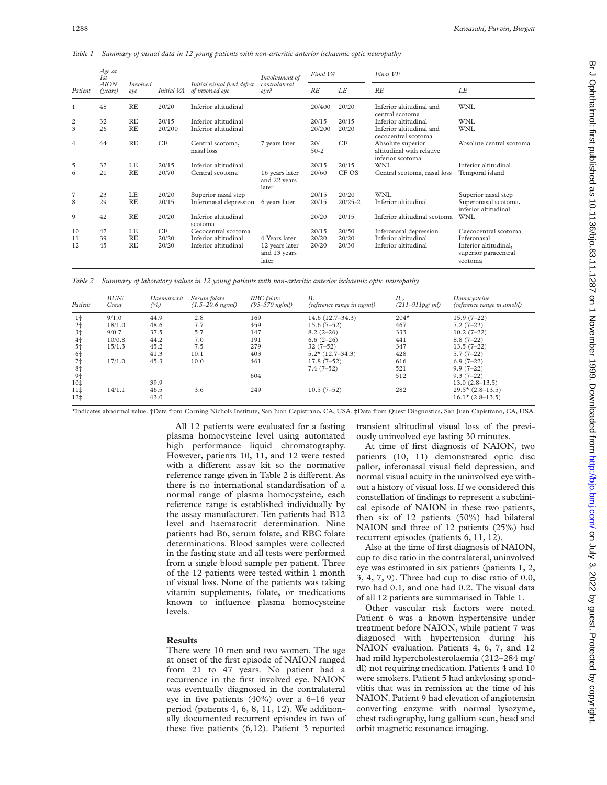*Table 1 Summary of visual data in 12 young patients with non-arteritic anterior ischaemic optic neuropathy*

|                | Age at<br>1st<br><b>AION</b><br>(years) | <b>Involved</b><br>eve | Initial VA | Initial visual field defect<br>of involved eye | Involvement of<br>contralateral<br>eve? | Final VA      |             | Final VF                                                           |                                                          |
|----------------|-----------------------------------------|------------------------|------------|------------------------------------------------|-----------------------------------------|---------------|-------------|--------------------------------------------------------------------|----------------------------------------------------------|
| Patient        |                                         |                        |            |                                                |                                         | RE            | LE          | RE                                                                 | LE                                                       |
| 1              | 48                                      | <b>RE</b>              | 20/20      | Inferior altitudinal                           |                                         | 20/400        | 20/20       | Inferior altitudinal and<br>central scotoma                        | WNL                                                      |
| 2              | 32                                      | <b>RE</b>              | 20/15      | Inferior altitudinal                           |                                         | 20/15         | 20/15       | Inferior altitudinal                                               | <b>WNL</b>                                               |
| 3              | 26                                      | <b>RE</b>              | 20/200     | Inferior altitudinal                           |                                         | 20/200        | 20/20       | Inferior altitudinal and<br>cecocentral scotoma                    | <b>WNL</b>                                               |
| 4              | 44                                      | RE                     | CF         | Central scotoma,<br>nasal loss                 | 7 years later                           | 20/<br>$50-2$ | CF          | Absolute superior<br>altitudinal with relative<br>inferior scotoma | Absolute central scotoma                                 |
| 5              | 37                                      | LE                     | 20/15      | Inferior altitudinal                           |                                         | 20/15         | 20/15       | WNI.                                                               | Inferior altitudinal                                     |
| 6              | 21                                      | <b>RE</b>              | 20/70      | Central scotoma                                | 16 years later<br>and 22 years<br>later | 20/60         | CF OS       | Central scotoma, nasal loss                                        | Temporal island                                          |
| $\overline{7}$ | 23                                      | LE                     | 20/20      | Superior nasal step                            |                                         | 20/15         | 20/20       | <b>WNL</b>                                                         | Superior nasal step                                      |
| 8              | 29                                      | <b>RE</b>              | 20/15      | Inferonasal depression                         | 6 years later                           | 20/15         | $20/25 - 2$ | Inferior altitudinal                                               | Superonasal scotoma,<br>inferior altitudinal             |
| 9              | 42                                      | <b>RE</b>              | 20/20      | Inferior altitudinal<br>scotoma                |                                         | 20/20         | 20/15       | Inferior altitudinal scotoma                                       | <b>WNL</b>                                               |
| 10             | 47                                      | LE                     | CF         | Cecocentral scotoma                            |                                         | 20/15         | 20/50       | Inferonasal depression                                             | Caecocentral scotoma                                     |
| 11             | 39                                      | <b>RE</b>              | 20/20      | Inferior altitudinal                           | 6 Years later                           | 20/20         | 20/20       | Inferior altitudinal                                               | Inferonasal                                              |
| 12             | 45                                      | <b>RE</b>              | 20/20      | Inferior altitudinal                           | 12 years later<br>and 13 years<br>later | 20/20         | 20/30       | Inferior altitudinal                                               | Inferior altitudinal,<br>superior paracentral<br>scotoma |

*Table 2 Summary of laboratory values in 12 young patients with non-arteritic anterior ischaemic optic neuropathy*

| Patient         | <b>BUN/</b><br>Creat | Haematocrit<br>(%) | Serum folate<br>$(1.5-20.6$ ng/ml) | RBC folate<br>$(95 - 570$ ng/ml) | $B_{\kappa}$<br>(reference range in ng/ml) | $B_{12}$<br>$(211 - 911pg/ml)$ | Homocysteine<br>(reference range in $\mu$ mol/l) |
|-----------------|----------------------|--------------------|------------------------------------|----------------------------------|--------------------------------------------|--------------------------------|--------------------------------------------------|
| $1+$            | 9/1.0                | 44.9               | 2.8                                | 169                              | $14.6(12.7-34.3)$                          | $204*$                         | $15.9(7-22)$                                     |
| 2 <sub>1</sub>  | 18/1.0               | 48.6               | 7.7                                | 459                              | $15.6(7-52)$                               | 467                            | $7.2(7-22)$                                      |
| $3+$            | 9/0.7                | 37.5               | 5.7                                | 147                              | $8.2(2-26)$                                | 333                            | $10.2(7-22)$                                     |
| 4 <sub>1</sub>  | 10/0.8               | 44.2               | 7.0                                | 191                              | $6.6(2-26)$                                | 441                            | $8.8(7-22)$                                      |
| $5+$            | 15/1.3               | 45.2               | 7.5                                | 279                              | $32(7-52)$                                 | 347                            | $13.5(7-22)$                                     |
| 6†              |                      | 41.3               | 10.1                               | 403                              | $5.2*(12.7-34.3)$                          | 428                            | $5.7(7-22)$                                      |
| $7+$            | 17/1.0               | 45.3               | 10.0                               | 461                              | $17.8(7-52)$                               | 616                            | $6.9(7-22)$                                      |
| 8 <sub>1</sub>  |                      |                    |                                    |                                  | $7.4(7-52)$                                | 521                            | $9.9(7-22)$                                      |
| $9+$            |                      |                    |                                    | 604                              |                                            | 512                            | $9.3(7-22)$                                      |
| 10‡             |                      | 39.9               |                                    |                                  |                                            |                                | $13.0(2.8-13.5)$                                 |
| 11 <sup>‡</sup> | 14/1.1               | 46.5               | 3.6                                | 249                              | $10.5(7-52)$                               | 282                            | $29.5*(2.8-13.5)$                                |
| 12‡             |                      | 43.0               |                                    |                                  |                                            |                                | $16.1*$ (2.8-13.5)                               |

\*Indicates abnormal value. †Data from Corning Nichols Institute, San Juan Capistrano, CA, USA. ‡Data from Quest Diagnostics, San Juan Capistrano, CA, USA.

All 12 patients were evaluated for a fasting plasma homocysteine level using automated high performance liquid chromatography. However, patients 10, 11, and 12 were tested with a different assay kit so the normative reference range given in Table 2 is different. As there is no international standardisation of a normal range of plasma homocysteine, each reference range is established individually by the assay manufacturer. Ten patients had B12 level and haematocrit determination. Nine patients had B6, serum folate, and RBC folate determinations. Blood samples were collected in the fasting state and all tests were performed from a single blood sample per patient. Three of the 12 patients were tested within 1 month of visual loss. None of the patients was taking vitamin supplements, folate, or medications known to influence plasma homocysteine levels.

## **Results**

There were 10 men and two women. The age at onset of the first episode of NAION ranged from 21 to 47 years. No patient had a recurrence in the first involved eye. NAION was eventually diagnosed in the contralateral eye in five patients (40%) over a 6–16 year period (patients 4, 6, 8, 11, 12). We additionally documented recurrent episodes in two of these five patients (6,12). Patient 3 reported

transient altitudinal visual loss of the previously uninvolved eye lasting 30 minutes.

At time of first diagnosis of NAION, two patients (10, 11) demonstrated optic disc pallor, inferonasal visual field depression, and normal visual acuity in the uninvolved eye without a history of visual loss. If we considered this constellation of findings to represent a subclinical episode of NAION in these two patients, then six of 12 patients (50%) had bilateral NAION and three of 12 patients (25%) had recurrent episodes (patients 6, 11, 12).

Also at the time of first diagnosis of NAION, cup to disc ratio in the contralateral, uninvolved eye was estimated in six patients (patients 1, 2, 3, 4, 7, 9). Three had cup to disc ratio of 0.0, two had 0.1, and one had 0.2. The visual data of all 12 patients are summarised in Table 1.

Other vascular risk factors were noted. Patient 6 was a known hypertensive under treatment before NAION, while patient 7 was diagnosed with hypertension during his NAION evaluation. Patients 4, 6, 7, and 12 had mild hypercholesterolaemia (212–284 mg/ dl) not requiring medication. Patients 4 and 10 were smokers. Patient 5 had ankylosing spondylitis that was in remission at the time of his NAION. Patient 9 had elevation of angiotensin converting enzyme with normal lysozyme, chest radiography, lung gallium scan, head and orbit magnetic resonance imaging.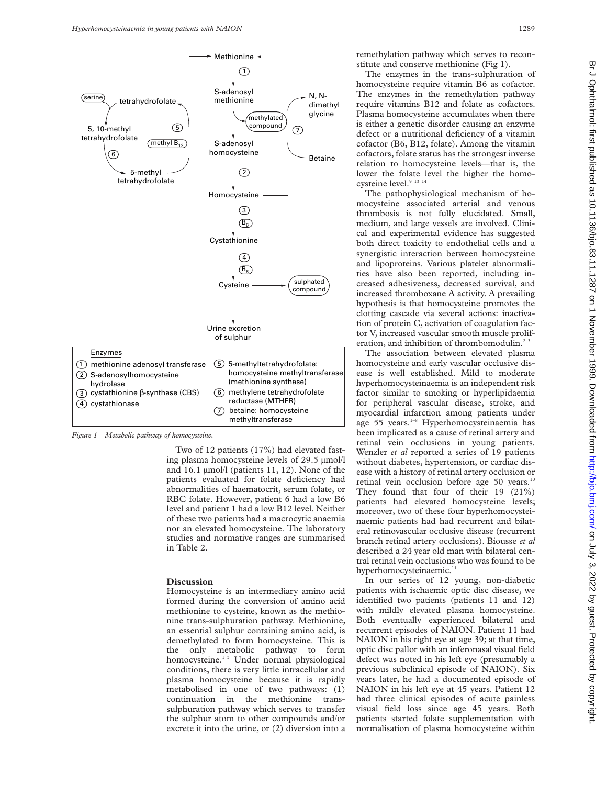

*Figure 1 Metabolic pathway of homocysteine.*

Two of 12 patients (17%) had elevated fasting plasma homocysteine levels of 29.5 µmol/l and 16.1 µmol/l (patients 11, 12). None of the patients evaluated for folate deficiency had abnormalities of haematocrit, serum folate, or RBC folate. However, patient 6 had a low B6 level and patient 1 had a low B12 level. Neither of these two patients had a macrocytic anaemia nor an elevated homocysteine. The laboratory studies and normative ranges are summarised in Table 2.

## **Discussion**

Homocysteine is an intermediary amino acid formed during the conversion of amino acid methionine to cysteine, known as the methionine trans-sulphuration pathway. Methionine, an essential sulphur containing amino acid, is demethylated to form homocysteine. This is the only metabolic pathway to form homocysteine.<sup>13</sup> Under normal physiological conditions, there is very little intracellular and plasma homocysteine because it is rapidly metabolised in one of two pathways: (1) continuation in the methionine transsulphuration pathway which serves to transfer the sulphur atom to other compounds and/or excrete it into the urine, or (2) diversion into a

remethylation pathway which serves to reconstitute and conserve methionine (Fig 1).

The enzymes in the trans-sulphuration of homocysteine require vitamin B6 as cofactor. The enzymes in the remethylation pathway require vitamins B12 and folate as cofactors. Plasma homocysteine accumulates when there is either a genetic disorder causing an enzyme defect or a nutritional deficiency of a vitamin cofactor (B6, B12, folate). Among the vitamin cofactors, folate status has the strongest inverse relation to homocysteine levels—that is, the lower the folate level the higher the homocysteine level.<sup>9</sup> <sup>13</sup> <sup>14</sup>

The pathophysiological mechanism of homocysteine associated arterial and venous thrombosis is not fully elucidated. Small, medium, and large vessels are involved. Clinical and experimental evidence has suggested both direct toxicity to endothelial cells and a synergistic interaction between homocysteine and lipoproteins. Various platelet abnormalities have also been reported, including increased adhesiveness, decreased survival, and increased thromboxane A activity. A prevailing hypothesis is that homocysteine promotes the clotting cascade via several actions: inactivation of protein C, activation of coagulation factor V, increased vascular smooth muscle proliferation, and inhibition of thrombomodulin.<sup>23</sup>

The association between elevated plasma homocysteine and early vascular occlusive disease is well established. Mild to moderate hyperhomocysteinaemia is an independent risk factor similar to smoking or hyperlipidaemia for peripheral vascular disease, stroke, and myocardial infarction among patients under age 55 years.<sup>1-8</sup> Hyperhomocysteinaemia has been implicated as a cause of retinal artery and retinal vein occlusions in young patients. Wenzler *et al* reported a series of 19 patients without diabetes, hypertension, or cardiac disease with a history of retinal artery occlusion or retinal vein occlusion before age 50 years.<sup>1</sup> They found that four of their 19 (21%) patients had elevated homocysteine levels; moreover, two of these four hyperhomocysteinaemic patients had had recurrent and bilateral retinovascular occlusive disease (recurrent branch retinal artery occlusions). Biousse *et al* described a 24 year old man with bilateral central retinal vein occlusions who was found to be hyperhomocysteinaemic.<sup>11</sup>

In our series of 12 young, non-diabetic patients with ischaemic optic disc disease, we identified two patients (patients 11 and 12) with mildly elevated plasma homocysteine. Both eventually experienced bilateral and recurrent episodes of NAION. Patient 11 had NAION in his right eye at age 39; at that time, optic disc pallor with an inferonasal visual field defect was noted in his left eye (presumably a previous subclinical episode of NAION). Six years later, he had a documented episode of NAION in his left eye at 45 years. Patient 12 had three clinical episodes of acute painless visual field loss since age 45 years. Both patients started folate supplementation with normalisation of plasma homocysteine within